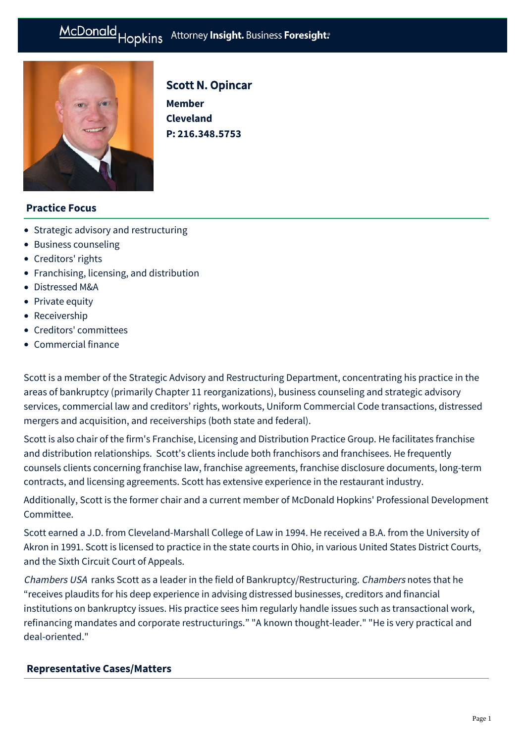# McDonald Hopkins Attorney Insight. Business Foresight:



# Scott N. Opincar

**Member Cleveland P: [216.348.5753](tel:216.348.5753)**

## **Practice Focus**

- [Strategic advisory and restructuring](https://mcdonaldhopkins.com/Expertise/Strategic-advisory-and-restructuring)
- [Business counseling](https://mcdonaldhopkins.com/Expertise/Business-counseling)
- [Creditors' rights](https://mcdonaldhopkins.com/Expertise/Strategic-advisory-and-restructuring/Creditors-rights)
- [Franchising, licensing, and distribution](https://mcdonaldhopkins.com/Expertise/Industries/Franchising-licensing-and-distribution)
- [Distressed M&A](https://mcdonaldhopkins.com/Expertise/Strategic-advisory-and-restructuring/Distressed-M-A)
- [Private equity](https://mcdonaldhopkins.com/Expertise/Business-counseling/Private-equity)
- [Receivership](https://mcdonaldhopkins.com/Expertise/Strategic-advisory-and-restructuring/Receivership)
- [Creditors' committees](https://mcdonaldhopkins.com/Expertise/Strategic-advisory-and-restructuring/Creditors-committees)
- [Commercial finance](https://mcdonaldhopkins.com/Expertise/Finance/Commercial-finance)

Scott is a member of the Strategic Advisory and Restructuring Department, concentrating his practice in the areas of bankruptcy (primarily Chapter 11 reorganizations), business counseling and strategic advisory services, commercial law and creditors' rights, workouts, Uniform Commercial Code transactions, distressed mergers and acquisition, and receiverships (both state and federal).

Scott is also chair of the firm's Franchise, Licensing and Distribution Practice Group. He facilitates franchise and distribution relationships. Scott's clients include both franchisors and franchisees. He frequently counsels clients concerning franchise law, franchise agreements, franchise disclosure documents, long-term contracts, and licensing agreements. Scott has extensive experience in the restaurant industry.

Additionally, Scott is the former chair and a current member of McDonald Hopkins' Professional Development Committee.

Scott earned a J.D. from Cleveland-Marshall College of Law in 1994. He received a B.A. from the University of Akron in 1991. Scott is licensed to practice in the state courts in Ohio, in various United States District Courts, and the Sixth Circuit Court of Appeals.

Chambers USA ranks Scott as a leader in the field of Bankruptcy/Restructuring. Chambers notes that he "receives plaudits for his deep experience in advising distressed businesses, creditors and financial institutions on bankruptcy issues. His practice sees him regularly handle issues such as transactional work, refinancing mandates and corporate restructurings." "A known thought-leader." "He is very practical and deal-oriented."

#### <span id="page-0-0"></span>**[Representative Cases/Matters](#page-0-0)**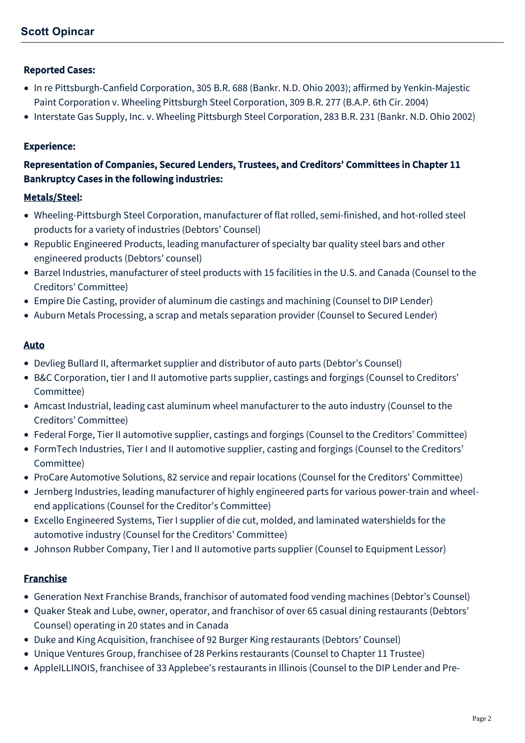#### Reported Cases:

- In re Pittsburgh-Canfield Corporation, 305 B.R. 688 (Bankr. N.D. Ohio 2003); affirmed by Yenkin-Majestic Paint Corporation v. Wheeling Pittsburgh Steel Corporation, 309 B.R. 277 (B.A.P. 6th Cir. 2004)
- Interstate Gas Supply, Inc. v. Wheeling Pittsburgh Steel Corporation, 283 B.R. 231 (Bankr. N.D. Ohio 2002)

#### Experience:

## Representation of Companies, Secured Lenders, Trustees, and Creditors' Committees in Chapter 11 Bankruptcy Cases in the following industries:

#### Metals/Steel:

- Wheeling-Pittsburgh Steel Corporation, manufacturer of flat rolled, semi-finished, and hot-rolled steel products for a variety of industries (Debtors' Counsel)
- Republic Engineered Products, leading manufacturer of specialty bar quality steel bars and other engineered products (Debtors' counsel)
- Barzel Industries, manufacturer of steel products with 15 facilities in the U.S. and Canada (Counsel to the Creditors' Committee)
- Empire Die Casting, provider of aluminum die castings and machining (Counsel to DIP Lender)
- Auburn Metals Processing, a scrap and metals separation provider (Counsel to Secured Lender)

#### Auto

- Devlieg Bullard II, aftermarket supplier and distributor of auto parts (Debtor's Counsel)
- B&C Corporation, tier I and II automotive parts supplier, castings and forgings (Counsel to Creditors' Committee)
- Amcast Industrial, leading cast aluminum wheel manufacturer to the auto industry (Counsel to the Creditors' Committee)
- Federal Forge, Tier II automotive supplier, castings and forgings (Counsel to the Creditors' Committee)
- FormTech Industries, Tier I and II automotive supplier, casting and forgings (Counsel to the Creditors' Committee)
- ProCare Automotive Solutions, 82 service and repair locations (Counsel for the Creditors' Committee)
- Jernberg Industries, leading manufacturer of highly engineered parts for various power-train and wheelend applications (Counsel for the Creditor's Committee)
- Excello Engineered Systems, Tier I supplier of die cut, molded, and laminated watershields for the automotive industry (Counsel for the Creditors' Committee)
- Johnson Rubber Company, Tier I and II automotive parts supplier (Counsel to Equipment Lessor)

## Franchise

- Generation Next Franchise Brands, franchisor of automated food vending machines (Debtor's Counsel)
- Quaker Steak and Lube, owner, operator, and franchisor of over 65 casual dining restaurants (Debtors' Counsel) operating in 20 states and in Canada
- Duke and King Acquisition, franchisee of 92 Burger King restaurants (Debtors' Counsel)
- Unique Ventures Group, franchisee of 28 Perkins restaurants (Counsel to Chapter 11 Trustee)
- AppleILLINOIS, franchisee of 33 Applebee's restaurants in Illinois (Counsel to the DIP Lender and Pre-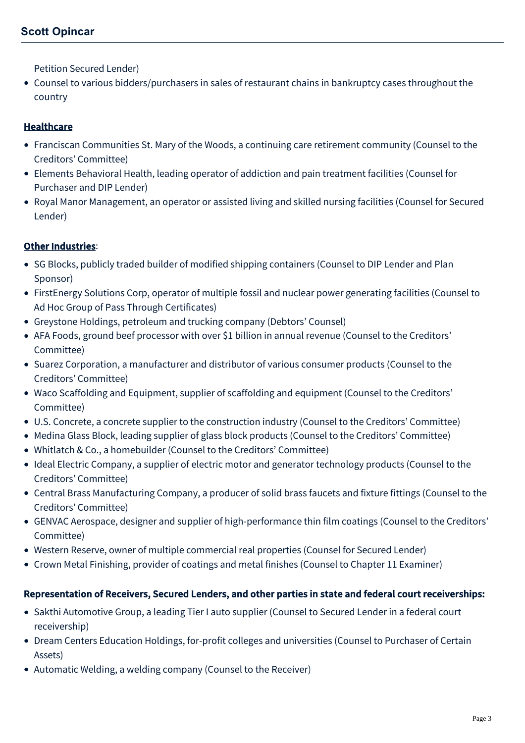Petition Secured Lender)

Counsel to various bidders/purchasers in sales of restaurant chains in bankruptcy cases throughout the country

## Healthcare

- Franciscan Communities St. Mary of the Woods, a continuing care retirement community (Counsel to the Creditors' Committee)
- Elements Behavioral Health, leading operator of addiction and pain treatment facilities (Counsel for Purchaser and DIP Lender)
- Royal Manor Management, an operator or assisted living and skilled nursing facilities (Counsel for Secured Lender)

## Other Industries:

- SG Blocks, publicly traded builder of modified shipping containers (Counsel to DIP Lender and Plan Sponsor)
- FirstEnergy Solutions Corp, operator of multiple fossil and nuclear power generating facilities (Counsel to Ad Hoc Group of Pass Through Certificates)
- Greystone Holdings, petroleum and trucking company (Debtors' Counsel)
- AFA Foods, ground beef processor with over \$1 billion in annual revenue (Counsel to the Creditors' Committee)
- Suarez Corporation, a manufacturer and distributor of various consumer products (Counsel to the Creditors' Committee)
- Waco Scaffolding and Equipment, supplier of scaffolding and equipment (Counsel to the Creditors' Committee)
- U.S. Concrete, a concrete supplier to the construction industry (Counsel to the Creditors' Committee)
- Medina Glass Block, leading supplier of glass block products (Counsel to the Creditors' Committee)
- Whitlatch & Co., a homebuilder (Counsel to the Creditors' Committee)
- Ideal Electric Company, a supplier of electric motor and generator technology products (Counsel to the Creditors' Committee)
- Central Brass Manufacturing Company, a producer of solid brass faucets and fixture fittings (Counsel to the Creditors' Committee)
- GENVAC Aerospace, designer and supplier of high-performance thin film coatings (Counsel to the Creditors' Committee)
- Western Reserve, owner of multiple commercial real properties (Counsel for Secured Lender)
- Crown Metal Finishing, provider of coatings and metal finishes (Counsel to Chapter 11 Examiner)

## Representation of Receivers, Secured Lenders, and other parties in state and federal court receiverships:

- Sakthi Automotive Group, a leading Tier I auto supplier (Counsel to Secured Lender in a federal court receivership)
- Dream Centers Education Holdings, for-profit colleges and universities (Counsel to Purchaser of Certain Assets)
- Automatic Welding, a welding company (Counsel to the Receiver)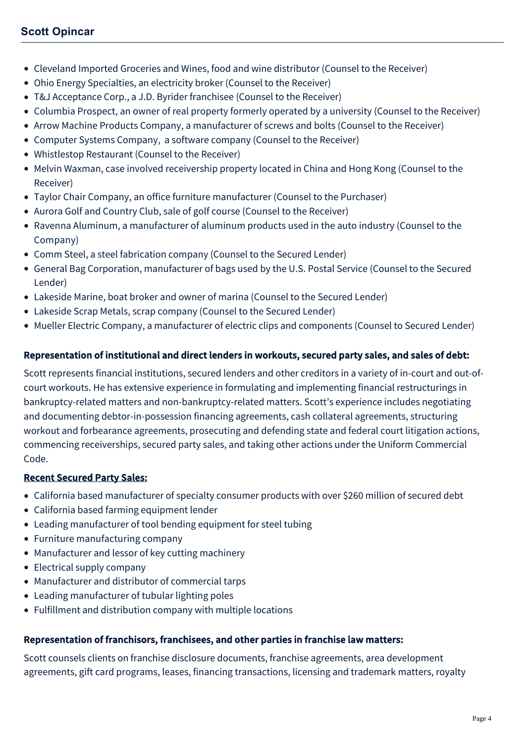- Cleveland Imported Groceries and Wines, food and wine distributor (Counsel to the Receiver)
- Ohio Energy Specialties, an electricity broker (Counsel to the Receiver)
- T&J Acceptance Corp., a J.D. Byrider franchisee (Counsel to the Receiver)
- Columbia Prospect, an owner of real property formerly operated by a university (Counsel to the Receiver)
- Arrow Machine Products Company, a manufacturer of screws and bolts (Counsel to the Receiver)
- Computer Systems Company, a software company (Counsel to the Receiver)
- Whistlestop Restaurant (Counsel to the Receiver)
- Melvin Waxman, case involved receivership property located in China and Hong Kong (Counsel to the Receiver)
- Taylor Chair Company, an office furniture manufacturer (Counsel to the Purchaser)
- Aurora Golf and Country Club, sale of golf course (Counsel to the Receiver)
- Ravenna Aluminum, a manufacturer of aluminum products used in the auto industry (Counsel to the Company)
- Comm Steel, a steel fabrication company (Counsel to the Secured Lender)
- General Bag Corporation, manufacturer of bags used by the U.S. Postal Service (Counsel to the Secured Lender)
- Lakeside Marine, boat broker and owner of marina (Counsel to the Secured Lender)
- Lakeside Scrap Metals, scrap company (Counsel to the Secured Lender)
- Mueller Electric Company, a manufacturer of electric clips and components (Counsel to Secured Lender)

## Representation of institutional and direct lenders in workouts, secured party sales, and sales of debt:

Scott represents financial institutions, secured lenders and other creditors in a variety of in-court and out-ofcourt workouts. He has extensive experience in formulating and implementing financial restructurings in bankruptcy-related matters and non-bankruptcy-related matters. Scott's experience includes negotiating and documenting debtor-in-possession financing agreements, cash collateral agreements, structuring workout and forbearance agreements, prosecuting and defending state and federal court litigation actions, commencing receiverships, secured party sales, and taking other actions under the Uniform Commercial Code.

#### Recent Secured Party Sales:

- California based manufacturer of specialty consumer products with over \$260 million of secured debt
- California based farming equipment lender
- Leading manufacturer of tool bending equipment for steel tubing
- Furniture manufacturing company
- Manufacturer and lessor of key cutting machinery
- Electrical supply company
- Manufacturer and distributor of commercial tarps
- Leading manufacturer of tubular lighting poles
- Fulfillment and distribution company with multiple locations

#### Representation of franchisors, franchisees, and other parties in franchise law matters:

Scott counsels clients on franchise disclosure documents, franchise agreements, area development agreements, gift card programs, leases, financing transactions, licensing and trademark matters, royalty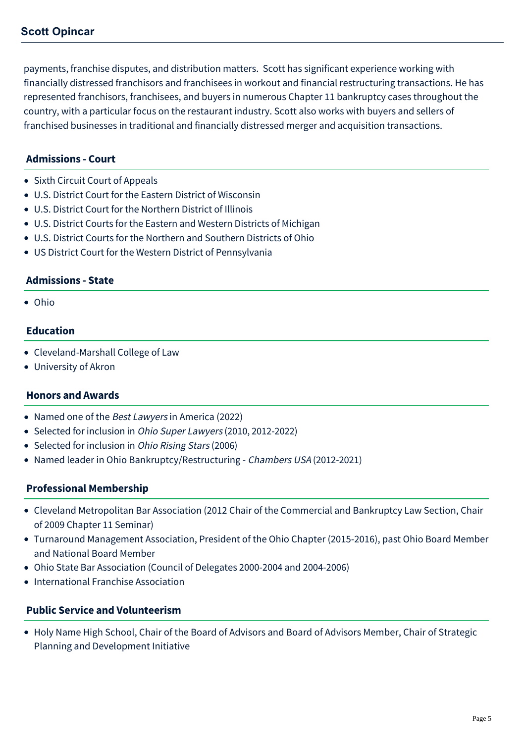payments, franchise disputes, and distribution matters. Scott has significant experience working with financially distressed franchisors and franchisees in workout and financial restructuring transactions. He has represented franchisors, franchisees, and buyers in numerous Chapter 11 bankruptcy cases throughout the country, with a particular focus on the restaurant industry. Scott also works with buyers and sellers of franchised businesses in traditional and financially distressed merger and acquisition transactions.

#### **Admissions - Court**

- Sixth Circuit Court of Appeals
- U.S. District Court for the Eastern District of Wisconsin
- U.S. District Court for the Northern District of Illinois
- U.S. District Courts for the Eastern and Western Districts of Michigan
- U.S. District Courts for the Northern and Southern Districts of Ohio
- US District Court for the Western District of Pennsylvania

#### **Admissions - State**

Ohio

#### **Education**

- Cleveland-Marshall College of Law
- University of Akron

#### **Honors and Awards**

- Named one of the *Best Lawyers* in America (2022)
- Selected for inclusion in *Ohio Super Lawyers* (2010, 2012-2022)
- Selected for inclusion in Ohio Rising Stars (2006)
- Named leader in Ohio Bankruptcy/Restructuring Chambers USA (2012-2021)

#### **Professional Membership**

- Cleveland Metropolitan Bar Association (2012 Chair of the Commercial and Bankruptcy Law Section, Chair of 2009 Chapter 11 Seminar)
- Turnaround Management Association, President of the Ohio Chapter (2015-2016), past Ohio Board Member and National Board Member
- Ohio State Bar Association (Council of Delegates 2000-2004 and 2004-2006)
- International Franchise Association

#### **Public Service and Volunteerism**

Holy Name High School, Chair of the Board of Advisors and Board of Advisors Member, Chair of Strategic Planning and Development Initiative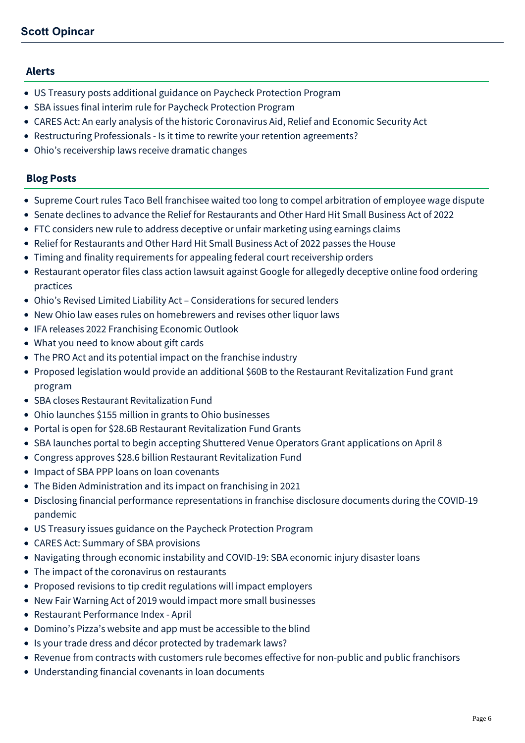#### **Alerts**

- [US Treasury posts additional guidance on Paycheck Protection Program](https://mcdonaldhopkins.com/Insights/April-2020/UPDATE-US-Treasury-posts-additional-guidance-on-Pa)
- [SBA issues final interim rule for Paycheck Protection Program](https://mcdonaldhopkins.com/Insights/April-2020/Paycheck-Protection-Program-Understanding-the-Inte)
- [CARES Act: An early analysis of the historic Coronavirus Aid, Relief and Economic Security Act](https://mcdonaldhopkins.com/Insights/March-2020/CARES-ACT-overview)
- [Restructuring Professionals Is it time to rewrite your retention agreements?](https://mcdonaldhopkins.com/Insights/July-2016/Restructuring-Professionals-Is-it-time-to-rewrite)
- [Ohio's receivership laws receive dramatic changes](https://mcdonaldhopkins.com/Insights/March-2015/Ohios-receivership-laws-receive-dramatic-changes)

#### **Blog Posts**

- [Supreme Court rules Taco Bell franchisee waited too long to compel arbitration of employee wage dispute](https://mcdonaldhopkins.com/Insights/May-2022/Taco-Bell-franchisee-employee-wage-dispute)
- [Senate declines to advance the Relief for Restaurants and Other Hard Hit Small Business Act of 2022](https://mcdonaldhopkins.com/Insights/May-2022/Relief-for-Restaurants-Act-update)
- [FTC considers new rule to address deceptive or unfair marketing using earnings claims](https://mcdonaldhopkins.com/Insights/April-2022/FTC-considers-new-rule-to-address-deceptive-or-unf)
- [Relief for Restaurants and Other Hard Hit Small Business Act of 2022 passes the House](https://mcdonaldhopkins.com/Insights/April-2022/Relief-for-Restaurants-and-Other-Hard-Hit-Small-Bu)
- [Timing and finality requirements for appealing federal court receivership orders](https://mcdonaldhopkins.com/Insights/April-2022/Timing-finality-federal-court-receivership)
- [Restaurant operator files class action lawsuit against Google for allegedly deceptive online food ordering](https://mcdonaldhopkins.com/Insights/April-2022/class-action-Google-online-food-ordering) practices
- [Ohio's Revised Limited Liability Act Considerations for secured lenders](https://mcdonaldhopkins.com/Insights/March-2022/Ohio-Revised-Limited-Liability-Act)
- [New Ohio law eases rules on homebrewers and revises other liquor laws](https://mcdonaldhopkins.com/Insights/March-2022/New-Ohio-homebrewers-liquor-law)
- [IFA releases 2022 Franchising Economic Outlook](https://mcdonaldhopkins.com/Insights/February-2022/IFA-releases-2022-Franchising-Economic-Outlook)
- [What you need to know about gift cards](https://mcdonaldhopkins.com/Insights/November-2021/What-you-need-to-know-about-gift-cards)
- [The PRO Act and its potential impact on the franchise industry](https://mcdonaldhopkins.com/Insights/August-2021/The-PRO-Act-and-its-potential-impact-on-the-franch)
- [Proposed legislation would provide an additional \\$60B to the Restaurant Revitalization Fund grant](https://mcdonaldhopkins.com/Insights/August-2021/Proposed-legislation-would-provide-an-additional-6) program
- [SBA closes Restaurant Revitalization Fund](https://mcdonaldhopkins.com/Insights/July-2021/SBA-closes-Restaurant-Revitalization-Fund)
- [Ohio launches \\$155 million in grants to Ohio businesses](https://mcdonaldhopkins.com/Insights/June-2021/Ohio-launches-155-million-in-grants-to-Ohio-busine)
- [Portal is open for \\$28.6B Restaurant Revitalization Fund Grants](https://mcdonaldhopkins.com/Insights/May-2021/Portal-is-open-for-28-6B-Restaurant-Revitalization)
- [SBA launches portal to begin accepting Shuttered Venue Operators Grant applications on April 8](https://mcdonaldhopkins.com/Insights/April-2021/SBA-launches-portal-to-begin-accepting-Shuttered-V)
- [Congress approves \\$28.6 billion Restaurant Revitalization Fund](https://mcdonaldhopkins.com/Insights/March-2021/Congress-approves-Restaurant-Revitalization-Fund)
- [Impact of SBA PPP loans on loan covenants](https://mcdonaldhopkins.com/Insights/February-2021/Impact-of-SBA-PPP-loans-on-loan-covenants)
- [The Biden Administration and its impact on franchising in 2021](https://mcdonaldhopkins.com/Insights/February-2021/The-Biden-Administration-and-its-impact-on-franchi)
- [Disclosing financial performance representations in franchise disclosure documents during the COVID-19](https://mcdonaldhopkins.com/Insights/December-2020/Disclosing-financial-performance-representations-i) pandemic
- [US Treasury issues guidance on the Paycheck Protection Program](https://mcdonaldhopkins.com/Insights/April-2020/US-Treasury-issues-guidance-on-the-Paycheck-Protec)
- [CARES Act: Summary of SBA provisions](https://mcdonaldhopkins.com/Insights/March-2020/CARES-Act-Summary-of-SBA-provisions)
- [Navigating through economic instability and COVID-19: SBA economic injury disaster loans](https://mcdonaldhopkins.com/Insights/March-2020/Navigating-through-economic-instability-and-COVID1)
- [The impact of the coronavirus on restaurants](https://mcdonaldhopkins.com/Insights/March-2020/The-Impact-of-the-Coronavirus-on-Restaurants)
- [Proposed revisions to tip credit regulations will impact employers](https://mcdonaldhopkins.com/Insights/December-2019/Proposed-revisions-to-tip-credit-regulations-will)
- [New Fair Warning Act of 2019 would impact more small businesses](https://mcdonaldhopkins.com/Insights/December-2019/New-Fair-Warning-Act-of-2019-would-impact-more-sma)
- [Restaurant Performance Index April](https://mcdonaldhopkins.com/Insights/May-2019/Restaurant-Performance-Index-April)
- [Domino's Pizza's website and app must be accessible to the blind](https://mcdonaldhopkins.com/Insights/January-2019/Dominos-Pizzas-website-and-app-must-be-accessible)
- [Is your trade dress and décor protected by trademark laws?](https://mcdonaldhopkins.com/Insights/December-2018/Is-your-trade-dress-and-decor-protected-by-trade-s)
- [Revenue from contracts with customers rule becomes effective for non-public and public franchisors](https://mcdonaldhopkins.com/Insights/November-2018/Revenue-from-contracts-with-customers-rule-becomes)
- [Understanding financial covenants in loan documents](https://mcdonaldhopkins.com/Insights/November-2018/Understanding-financial-covenants-in-loan-document)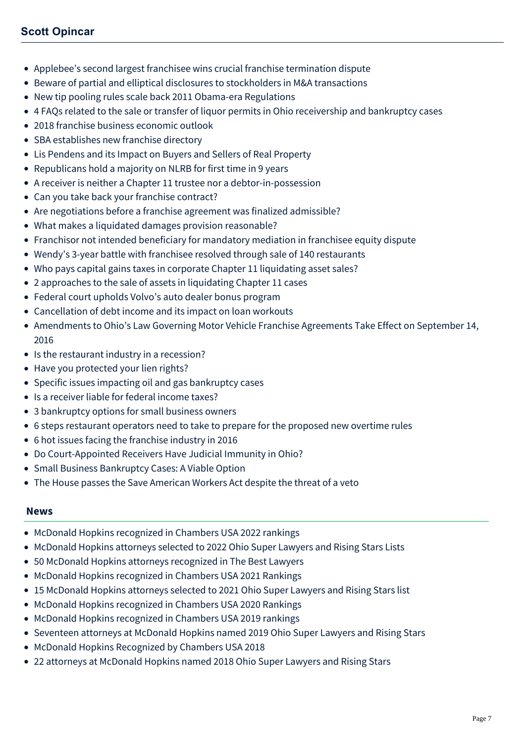- [Applebee's second largest franchisee wins crucial franchise termination dispute](https://mcdonaldhopkins.com/Insights/October-2018/Applebees-second-largest-franchisee-wins-crucial-f)
- [Beware of partial and elliptical disclosures to stockholders in M&A transactions](https://mcdonaldhopkins.com/Insights/September-2018/Beware-of-partial-and-elliptical-disclosures-to-st)
- [New tip pooling rules scale back 2011 Obama-era Regulations](https://mcdonaldhopkins.com/Insights/May-2018/New-tip-pooling-rules-scale-back-2011-Obama-era-Re)
- [4 FAQs related to the sale or transfer of liquor permits in Ohio receivership and bankruptcy cases](https://mcdonaldhopkins.com/Insights/February-2018/4-FAQs-related-to-the-sale-or-transfer-of-liquor-p)
- [2018 franchise business economic outlook](https://mcdonaldhopkins.com/Insights/February-2018/2018-franchise-business-economic-outlook)
- [SBA establishes new franchise directory](https://mcdonaldhopkins.com/Insights/January-2018/SBA-establishes-new-franchise-directory)
- [Lis Pendens and its Impact on Buyers and Sellers of Real Property](https://mcdonaldhopkins.com/Insights/November-2017/Lis-Pendens-and-its-Impact-on-Buyers-and-Sellers-o)
- [Republicans hold a majority on NLRB for first time in 9 years](https://mcdonaldhopkins.com/Insights/October-2017/Republicans-hold-a-majority-on-NLRB-for-first-time)
- [A receiver is neither a Chapter 11 trustee nor a debtor-in-possession](https://mcdonaldhopkins.com/Insights/October-2017/A-receiver-is-neither-a-Chapter-11-trustee-nor-a-d)
- [Can you take back your franchise contract?](https://mcdonaldhopkins.com/Insights/August-2017/Can-you-take-back-your-franchise-contract)
- [Are negotiations before a franchise agreement was finalized admissible?](https://mcdonaldhopkins.com/Insights/August-2017/Are-negotiations-before-a-franchise-agreement-was)
- [What makes a liquidated damages provision reasonable?](https://mcdonaldhopkins.com/Insights/August-2017/What-makes-a-liquidated-damages-provision-reasonab)
- [Franchisor not intended beneficiary for mandatory mediation in franchisee equity dispute](https://mcdonaldhopkins.com/Insights/August-2017/Franchisor-not-intended-beneficiary-for-mandatory)
- [Wendy's 3-year battle with franchisee resolved through sale of 140 restaurants](https://mcdonaldhopkins.com/Insights/August-2017/Wendys-3-year-battle-with-franchisee-resolved-thro)
- [Who pays capital gains taxes in corporate Chapter 11 liquidating asset sales?](https://mcdonaldhopkins.com/Insights/July-2017/Who-pays-capital-gains-taxes-in-corporate-Chapter)
- [2 approaches to the sale of assets in liquidating Chapter 11 cases](https://mcdonaldhopkins.com/Insights/July-2017/2-approaches-to-the-sale-of-assets-in-liquidating)
- [Federal court upholds Volvo's auto dealer bonus program](https://mcdonaldhopkins.com/Insights/November-2016/Federal-court-upholds-Volvos-auto-dealer-bonus-pro)
- [Cancellation of debt income and its impact on loan workouts](https://mcdonaldhopkins.com/Insights/November-2016/Cancellation-of-debt-income-and-its-impact-on-loan)
- [Amendments to Ohio's Law Governing Motor Vehicle Franchise Agreements Take Effect on September 14,](https://mcdonaldhopkins.com/Insights/September-2016/Amendments-to-Ohio-Law-Governing-Motor-Vehicle-Fra) 2016
- [Is the restaurant industry in a recession?](https://mcdonaldhopkins.com/Insights/August-2016/Is-the-restaurant-industry-in-a-recession)
- [Have you protected your lien rights?](https://mcdonaldhopkins.com/Insights/August-2016/Have-you-protected-your-lien-rights)
- [Specific issues impacting oil and gas bankruptcy cases](https://mcdonaldhopkins.com/Insights/June-2016/Specific-issues-impacting-oil-and-gas-bankruptcy-c)
- [Is a receiver liable for federal income taxes?](https://mcdonaldhopkins.com/Insights/June-2016/Is-a-receiver-liable-for-federal-income-taxes)
- [3 bankruptcy options for small business owners](https://mcdonaldhopkins.com/Insights/June-2016/3-bankruptcy-options-for-small-business-owners)
- [6 steps restaurant operators need to take to prepare for the proposed new overtime rules](https://mcdonaldhopkins.com/Insights/May-2016/6-steps-restaurant-operators-need-to-take-to-prepa)
- [6 hot issues facing the franchise industry in 2016](https://mcdonaldhopkins.com/Insights/February-2016/6-hot-issues-facing-the-franchise-industry-in-2016)
- [Do Court-Appointed Receivers Have Judicial Immunity in Ohio?](https://mcdonaldhopkins.com/Insights/May-2015/Do-Court-Appointed-Receivers-Have-Judicial-Immunit)
- [Small Business Bankruptcy Cases: A Viable Option](https://mcdonaldhopkins.com/Insights/Febrary-2015/Small-Business-Bankruptcy-Cases-A-Viable-Option)
- [The House passes the Save American Workers Act despite the threat of a veto](https://mcdonaldhopkins.com/Insights/January-2015/The-House-passes-the-Save-American-Workers-Act-des)

#### **News**

- [McDonald Hopkins recognized in Chambers USA 2022 rankings](https://mcdonaldhopkins.com/Insights/June-2022/McDonald-Hopkins-recognized-in-Chambers-USA-2022)
- [McDonald Hopkins attorneys selected to 2022 Ohio Super Lawyers and Rising Stars Lists](https://mcdonaldhopkins.com/Insights/December-2021/McDonald-Hopkins-Ohio-Super-Lawyers)
- [50 McDonald Hopkins attorneys recognized in The Best Lawyers](https://mcdonaldhopkins.com/Insights/August-2021/50-McDonald-Hopkins-attorneys-recognized-in-The-Be)
- [McDonald Hopkins recognized in Chambers USA 2021 Rankings](https://mcdonaldhopkins.com/Insights/May-2021/McDonald-Hopkins-recognized-in-Chambers-USA-2021-R)
- [15 McDonald Hopkins attorneys selected to 2021 Ohio Super Lawyers and Rising Stars list](https://mcdonaldhopkins.com/Insights/December-2020/15-McDonald-Hopkins-attorneys-selected-to-2021-Ohi)
- [McDonald Hopkins recognized in Chambers USA 2020 Rankings](https://mcdonaldhopkins.com/Insights/April-2020/McDonald-Hopkins-recognized-in-Chambers-USA-2020-R)
- [McDonald Hopkins recognized in Chambers USA 2019 rankings](https://mcdonaldhopkins.com/Insights/April-2019/McDonald-Hopkins-recognized-in-Chambers-USA-2019-r)
- [Seventeen attorneys at McDonald Hopkins named 2019 Ohio Super Lawyers and Rising Stars](https://mcdonaldhopkins.com/Insights/December-2018/Seventeen-attorneys-at-McDonald-Hopkins-named-2019)
- [McDonald Hopkins Recognized by Chambers USA 2018](https://mcdonaldhopkins.com/Insights/May-2018/McDonald-Hopkins-Recognized-by-Chambers-USA-2018)
- [22 attorneys at McDonald Hopkins named 2018 Ohio Super Lawyers and Rising Stars](https://mcdonaldhopkins.com/Insights/December-2017/22-attorneys-at-McDonald-Hopkins-named-2018-Ohio-S)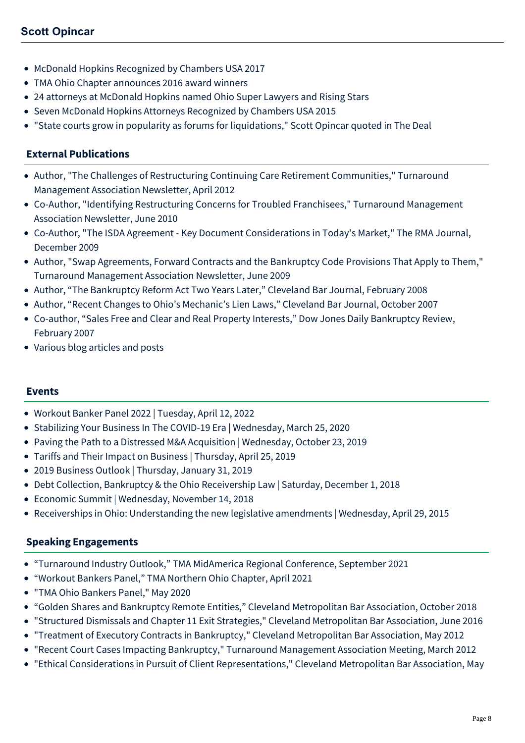- [McDonald Hopkins Recognized by Chambers USA 2017](https://mcdonaldhopkins.com/Insights/May-2017/McDonald-Hopkins-Recognized-by-Chambers-USA-2017)
- [TMA Ohio Chapter announces 2016 award winners](https://mcdonaldhopkins.com/Insights/January-2017/TMA-Ohio-Chapter-announces-2016-award-winners)
- [24 attorneys at McDonald Hopkins named Ohio Super Lawyers and Rising Stars](https://mcdonaldhopkins.com/Insights/December-2015/24-attorneys-at-McDonald-Hopkins-named-Ohio-Super)
- [Seven McDonald Hopkins Attorneys Recognized by Chambers USA 2015](https://mcdonaldhopkins.com/Insights/May-2015/Seven-McDonald-Hopkins-Attorneys-Recognized-by-Cha)
- ["State courts grow in popularity as forums for liquidations," Scott Opincar quoted in The Deal](https://mcdonaldhopkins.com/Insights/April-2015/State-courts-grow-in-popularity-as-forums-for-liqu)

## **External Publications**

- Author, "The Challenges of Restructuring Continuing Care Retirement Communities," Turnaround Management Association Newsletter, April 2012
- Co-Author, "Identifying Restructuring Concerns for Troubled Franchisees," Turnaround Management Association Newsletter, June 2010
- Co-Author, "The ISDA Agreement Key Document Considerations in Today's Market," The RMA Journal, December 2009
- Author, "Swap Agreements, Forward Contracts and the Bankruptcy Code Provisions That Apply to Them," Turnaround Management Association Newsletter, June 2009
- Author, "The Bankruptcy Reform Act Two Years Later," Cleveland Bar Journal, February 2008
- Author, "Recent Changes to Ohio's Mechanic's Lien Laws," Cleveland Bar Journal, October 2007
- Co-author, "Sales Free and Clear and Real Property Interests," Dow Jones Daily Bankruptcy Review, February 2007
- Various blog articles and posts

#### **Events**

- [Workout Banker Panel 2022 | Tuesday, April 12, 2022](https://mcdonaldhopkins.com/Events/2022/Workout-Banker-Panel-2022)
- [Stabilizing Your Business In The COVID-19 Era | Wednesday, March 25, 2020](https://mcdonaldhopkins.com/Events/2020/Coronavirus-Webinar-Turnaround-Management-Associat)
- [Paving the Path to a Distressed M&A Acquisition | Wednesday, October 23, 2019](https://mcdonaldhopkins.com/Events/2019/Paving-the-Path-to-a-Distressed-MA-Acquisition)
- [Tariffs and Their Impact on Business | Thursday, April 25, 2019](https://mcdonaldhopkins.com/Events/2019/Tariffs-and-Their-Impact-on-Business)
- [2019 Business Outlook | Thursday, January 31, 2019](https://mcdonaldhopkins.com/Events/2019/2019-Business-Outlook)
- [Debt Collection, Bankruptcy & the Ohio Receivership Law | Saturday, December 1, 2018](https://mcdonaldhopkins.com/Events/2018/Debt-Collection-Bankruptcy-and-the-Ohio-Receiversh)
- [Economic Summit | Wednesday, November 14, 2018](https://mcdonaldhopkins.com/Events/2018/Economic-Summit)
- [Receiverships in Ohio: Understanding the new legislative amendments | Wednesday, April 29, 2015](https://mcdonaldhopkins.com/Events/2015/Receiverships-in-Ohio-Understanding-the-new-legisl)

## **Speaking Engagements**

- "Turnaround Industry Outlook," TMA MidAmerica Regional Conference, September 2021
- "Workout Bankers Panel," TMA Northern Ohio Chapter, April 2021
- "[TMA Ohio Bankers Panel,](https://hahnlaw.webex.com/recordingservice/sites/hahnlaw/recording/play/d45cf91c8bf642a0a210c7865efac618)" May 2020
- "Golden Shares and Bankruptcy Remote Entities," Cleveland Metropolitan Bar Association, October 2018
- "Structured Dismissals and Chapter 11 Exit Strategies," Cleveland Metropolitan Bar Association, June 2016
- "Treatment of Executory Contracts in Bankruptcy," Cleveland Metropolitan Bar Association, May 2012
- "Recent Court Cases Impacting Bankruptcy," Turnaround Management Association Meeting, March 2012
- "Ethical Considerations in Pursuit of Client Representations," Cleveland Metropolitan Bar Association, May